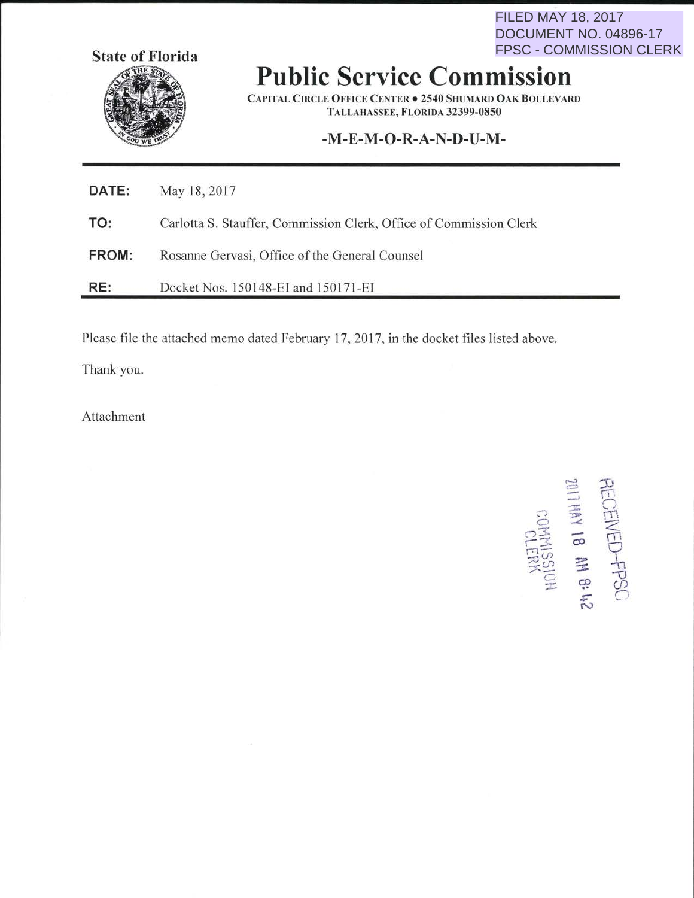**FILED MAY 18, 2017** DOCUMENT NO. 04896-17 **FPSC - COMMISSION CLERK** 



## **Public Service Commission**

**CAPITAL CIRCLE OFFICE CENTER . 2540 SHUMARD OAK BOULEVARD** TALLAHASSEE, FLORIDA 32399-0850

## -M-E-M-O-R-A-N-D-U-M-

| <b>DATE:</b> | May 18, 2017                                                       |
|--------------|--------------------------------------------------------------------|
| TO:          | Carlotta S. Stauffer, Commission Clerk, Office of Commission Clerk |
| FROM:        | Rosanne Gervasi, Office of the General Counsel                     |
| RE:          | Docket Nos. 150148-EI and 150171-EI                                |

Please file the attached memo dated February 17, 2017, in the docket files listed above.

Thank you.

Attachment

**RECENED-FPSC**<br>241 **8 M 8 H2**<br>241 HM 18 M 8 H<sub>2</sub>